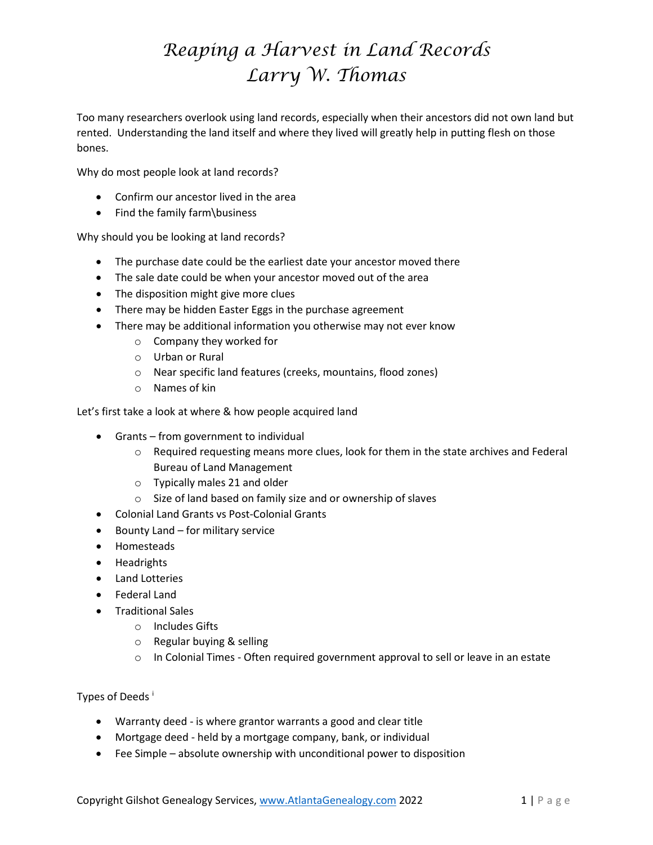Too many researchers overlook using land records, especially when their ancestors did not own land but rented. Understanding the land itself and where they lived will greatly help in putting flesh on those bones.

Why do most people look at land records?

- Confirm our ancestor lived in the area
- Find the family farm\business

Why should you be looking at land records?

- The purchase date could be the earliest date your ancestor moved there
- The sale date could be when your ancestor moved out of the area
- The disposition might give more clues
- There may be hidden Easter Eggs in the purchase agreement
- There may be additional information you otherwise may not ever know
	- o Company they worked for
	- o Urban or Rural
	- o Near specific land features (creeks, mountains, flood zones)
	- o Names of kin

Let's first take a look at where & how people acquired land

- Grants from government to individual
	- $\circ$  Required requesting means more clues, look for them in the state archives and Federal Bureau of Land Management
	- o Typically males 21 and older
	- o Size of land based on family size and or ownership of slaves
- Colonial Land Grants vs Post-Colonial Grants
- Bounty Land for military service
- Homesteads
- Headrights
- Land Lotteries
- Federal Land
- Traditional Sales
	- o Includes Gifts
	- o Regular buying & selling
	- $\circ$  In Colonial Times Often required government approval to sell or leave in an estate

Types of Deeds<sup>[i](#page-1-0)</sup>

- Warranty deed is where grantor warrants a good and clear title
- Mortgage deed held by a mortgage company, bank, or individual
- Fee Simple absolute ownership with unconditional power to disposition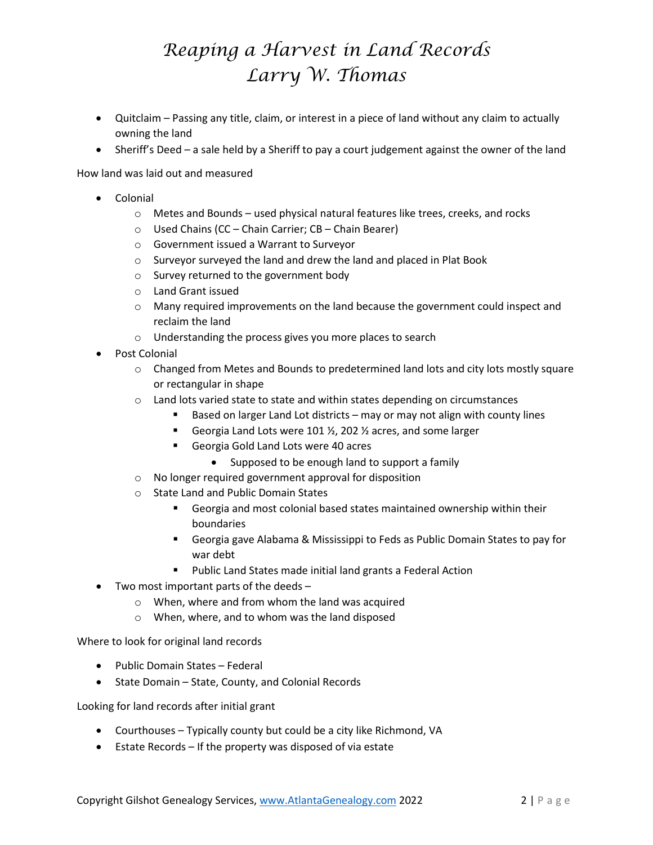- Quitclaim Passing any title, claim, or interest in a piece of land without any claim to actually owning the land
- Sheriff's Deed a sale held by a Sheriff to pay a court judgement against the owner of the land

How land was laid out and measured

- Colonial
	- $\circ$  Metes and Bounds used physical natural features like trees, creeks, and rocks
	- o Used Chains (CC Chain Carrier; CB Chain Bearer)
	- o Government issued a Warrant to Surveyor
	- o Surveyor surveyed the land and drew the land and placed in Plat Book
	- o Survey returned to the government body
	- o Land Grant issued
	- o Many required improvements on the land because the government could inspect and reclaim the land
	- o Understanding the process gives you more places to search
- Post Colonial
	- o Changed from Metes and Bounds to predetermined land lots and city lots mostly square or rectangular in shape
	- $\circ$  Land lots varied state to state and within states depending on circumstances
		- Based on larger Land Lot districts may or may not align with county lines
		- Georgia Land Lots were 101  $\frac{1}{2}$ , 202  $\frac{1}{2}$  acres, and some larger
		- Georgia Gold Land Lots were 40 acres
			- Supposed to be enough land to support a family
	- o No longer required government approval for disposition
	- o State Land and Public Domain States
		- Georgia and most colonial based states maintained ownership within their boundaries
		- Georgia gave Alabama & Mississippi to Feds as Public Domain States to pay for war debt
		- **Public Land States made initial land grants a Federal Action**
- Two most important parts of the deeds
	- o When, where and from whom the land was acquired
	- o When, where, and to whom was the land disposed

Where to look for original land records

- Public Domain States Federal
- State Domain State, County, and Colonial Records

<span id="page-1-0"></span>Looking for land records after initial grant

- Courthouses Typically county but could be a city like Richmond, VA
- Estate Records If the property was disposed of via estate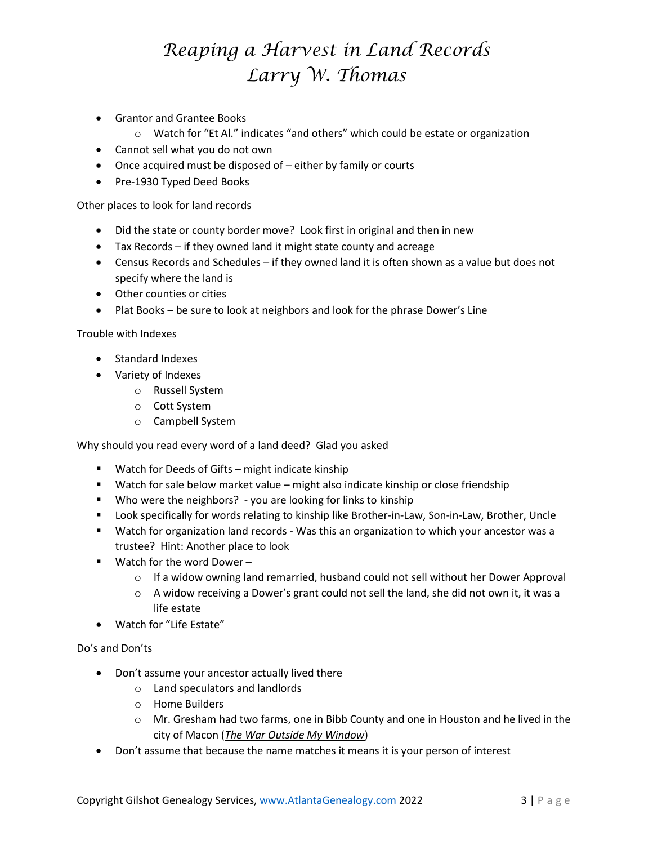- Grantor and Grantee Books
	- o Watch for "Et Al." indicates "and others" which could be estate or organization
- Cannot sell what you do not own
- Once acquired must be disposed of either by family or courts
- Pre-1930 Typed Deed Books

Other places to look for land records

- Did the state or county border move? Look first in original and then in new
- Tax Records if they owned land it might state county and acreage
- Census Records and Schedules if they owned land it is often shown as a value but does not specify where the land is
- Other counties or cities
- Plat Books be sure to look at neighbors and look for the phrase Dower's Line

Trouble with Indexes

- Standard Indexes
- Variety of Indexes
	- o Russell System
	- o Cott System
	- o Campbell System

Why should you read every word of a land deed? Glad you asked

- **Watch for Deeds of Gifts might indicate kinship**
- Watch for sale below market value might also indicate kinship or close friendship
- Who were the neighbors? you are looking for links to kinship
- Look specifically for words relating to kinship like Brother-in-Law, Son-in-Law, Brother, Uncle
- Watch for organization land records Was this an organization to which your ancestor was a trustee? Hint: Another place to look
- Watch for the word Dower
	- $\circ$  If a widow owning land remarried, husband could not sell without her Dower Approval
	- $\circ$  A widow receiving a Dower's grant could not sell the land, she did not own it, it was a life estate
- Watch for "Life Estate"

#### Do's and Don'ts

- Don't assume your ancestor actually lived there
	- o Land speculators and landlords
	- o Home Builders
	- o Mr. Gresham had two farms, one in Bibb County and one in Houston and he lived in the city of Macon (*The War Outside My Window*)
- Don't assume that because the name matches it means it is your person of interest